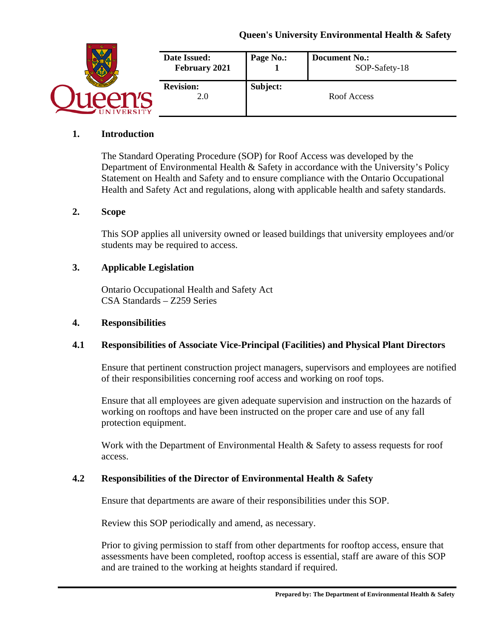|                | Date Issued:<br>February 2021 | Page No.: | <b>Document No.:</b><br>SOP-Safety-18 |
|----------------|-------------------------------|-----------|---------------------------------------|
| <b>VERSITY</b> | <b>Revision:</b><br>2.0       | Subject:  | Roof Access                           |

#### **1. Introduction**

The Standard Operating Procedure (SOP) for Roof Access was developed by the Department of Environmental Health & Safety in accordance with the University's Policy Statement on Health and Safety and to ensure compliance with the Ontario Occupational Health and Safety Act and regulations, along with applicable health and safety standards.

#### **2. Scope**

This SOP applies all university owned or leased buildings that university employees and/or students may be required to access.

#### **3. Applicable Legislation**

Ontario Occupational Health and Safety Act CSA Standards – Z259 Series

#### **4. Responsibilities**

#### **4.1 Responsibilities of Associate Vice-Principal (Facilities) and Physical Plant Directors**

Ensure that pertinent construction project managers, supervisors and employees are notified of their responsibilities concerning roof access and working on roof tops.

Ensure that all employees are given adequate supervision and instruction on the hazards of working on rooftops and have been instructed on the proper care and use of any fall protection equipment.

Work with the Department of Environmental Health & Safety to assess requests for roof access.

#### **4.2 Responsibilities of the Director of Environmental Health & Safety**

Ensure that departments are aware of their responsibilities under this SOP.

Review this SOP periodically and amend, as necessary.

Prior to giving permission to staff from other departments for rooftop access, ensure that assessments have been completed, rooftop access is essential, staff are aware of this SOP and are trained to the working at heights standard if required.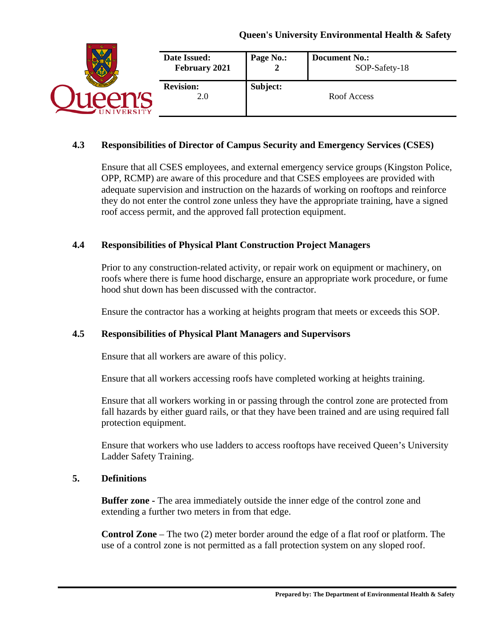|                 | Date Issued:<br>February 2021 | Page No.: | <b>Document No.:</b><br>SOP-Safety-18 |
|-----------------|-------------------------------|-----------|---------------------------------------|
| <b>IVERSITY</b> | <b>Revision:</b><br>2.0       | Subject:  | Roof Access                           |

#### **4.3 Responsibilities of Director of Campus Security and Emergency Services (CSES)**

Ensure that all CSES employees, and external emergency service groups (Kingston Police, OPP, RCMP) are aware of this procedure and that CSES employees are provided with adequate supervision and instruction on the hazards of working on rooftops and reinforce they do not enter the control zone unless they have the appropriate training, have a signed roof access permit, and the approved fall protection equipment.

#### **4.4 Responsibilities of Physical Plant Construction Project Managers**

Prior to any construction-related activity, or repair work on equipment or machinery, on roofs where there is fume hood discharge, ensure an appropriate work procedure, or fume hood shut down has been discussed with the contractor.

Ensure the contractor has a working at heights program that meets or exceeds this SOP.

#### **4.5 Responsibilities of Physical Plant Managers and Supervisors**

Ensure that all workers are aware of this policy.

Ensure that all workers accessing roofs have completed working at heights training.

Ensure that all workers working in or passing through the control zone are protected from fall hazards by either guard rails, or that they have been trained and are using required fall protection equipment.

Ensure that workers who use ladders to access rooftops have received Queen's University Ladder Safety Training.

#### **5. Definitions**

**Buffer zone -** The area immediately outside the inner edge of the control zone and extending a further two meters in from that edge.

**Control Zone** – The two (2) meter border around the edge of a flat roof or platform. The use of a control zone is not permitted as a fall protection system on any sloped roof.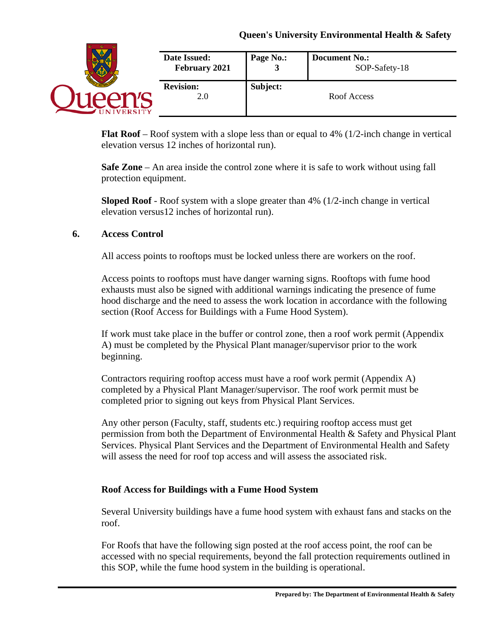|               | Date Issued:<br>February 2021 | Page No.: | <b>Document No.:</b><br>SOP-Safety-18 |
|---------------|-------------------------------|-----------|---------------------------------------|
| <b>ERSITY</b> | <b>Revision:</b><br>2.0       | Subject:  | Roof Access                           |

**Flat Roof** – Roof system with a slope less than or equal to 4% (1/2-inch change in vertical elevation versus 12 inches of horizontal run).

**Safe Zone** – An area inside the control zone where it is safe to work without using fall protection equipment.

**Sloped Roof** - Roof system with a slope greater than 4% (1/2-inch change in vertical elevation versus12 inches of horizontal run).

#### **6. Access Control**

All access points to rooftops must be locked unless there are workers on the roof.

Access points to rooftops must have danger warning signs. Rooftops with fume hood exhausts must also be signed with additional warnings indicating the presence of fume hood discharge and the need to assess the work location in accordance with the following section (Roof Access for Buildings with a Fume Hood System).

If work must take place in the buffer or control zone, then a roof work permit (Appendix A) must be completed by the Physical Plant manager/supervisor prior to the work beginning.

Contractors requiring rooftop access must have a roof work permit (Appendix A) completed by a Physical Plant Manager/supervisor. The roof work permit must be completed prior to signing out keys from Physical Plant Services.

Any other person (Faculty, staff, students etc.) requiring rooftop access must get permission from both the Department of Environmental Health & Safety and Physical Plant Services. Physical Plant Services and the Department of Environmental Health and Safety will assess the need for roof top access and will assess the associated risk.

#### **Roof Access for Buildings with a Fume Hood System**

Several University buildings have a fume hood system with exhaust fans and stacks on the roof.

For Roofs that have the following sign posted at the roof access point, the roof can be accessed with no special requirements, beyond the fall protection requirements outlined in this SOP, while the fume hood system in the building is operational.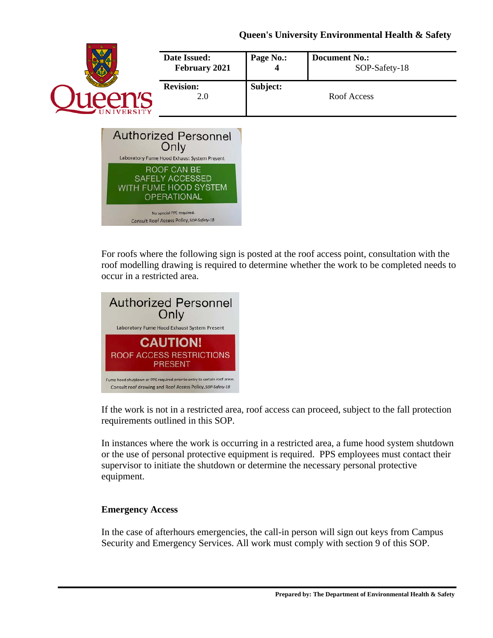



For roofs where the following sign is posted at the roof access point, consultation with the roof modelling drawing is required to determine whether the work to be completed needs to occur in a restricted area.



If the work is not in a restricted area, roof access can proceed, subject to the fall protection requirements outlined in this SOP.

In instances where the work is occurring in a restricted area, a fume hood system shutdown or the use of personal protective equipment is required. PPS employees must contact their supervisor to initiate the shutdown or determine the necessary personal protective equipment.

#### **Emergency Access**

In the case of afterhours emergencies, the call-in person will sign out keys from Campus Security and Emergency Services. All work must comply with section 9 of this SOP.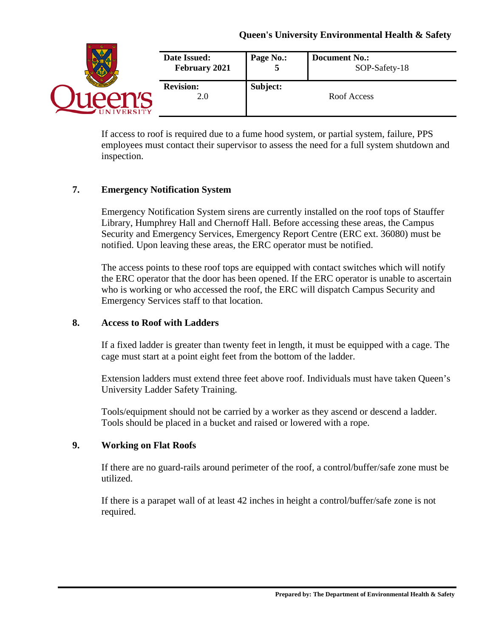|                | Date Issued:<br>February 2021 | Page No.: | <b>Document No.:</b><br>SOP-Safety-18 |
|----------------|-------------------------------|-----------|---------------------------------------|
| <b>VERSITY</b> | <b>Revision:</b><br>2.0       | Subject:  | Roof Access                           |

If access to roof is required due to a fume hood system, or partial system, failure, PPS employees must contact their supervisor to assess the need for a full system shutdown and inspection.

# **7. Emergency Notification System**

Emergency Notification System sirens are currently installed on the roof tops of Stauffer Library, Humphrey Hall and Chernoff Hall. Before accessing these areas, the Campus Security and Emergency Services, Emergency Report Centre (ERC ext. 36080) must be notified. Upon leaving these areas, the ERC operator must be notified.

The access points to these roof tops are equipped with contact switches which will notify the ERC operator that the door has been opened. If the ERC operator is unable to ascertain who is working or who accessed the roof, the ERC will dispatch Campus Security and Emergency Services staff to that location.

#### **8. Access to Roof with Ladders**

If a fixed ladder is greater than twenty feet in length, it must be equipped with a cage. The cage must start at a point eight feet from the bottom of the ladder.

Extension ladders must extend three feet above roof. Individuals must have taken Queen's University Ladder Safety Training.

Tools/equipment should not be carried by a worker as they ascend or descend a ladder. Tools should be placed in a bucket and raised or lowered with a rope.

#### **9. Working on Flat Roofs**

If there are no guard-rails around perimeter of the roof, a control/buffer/safe zone must be utilized.

If there is a parapet wall of at least 42 inches in height a control/buffer/safe zone is not required.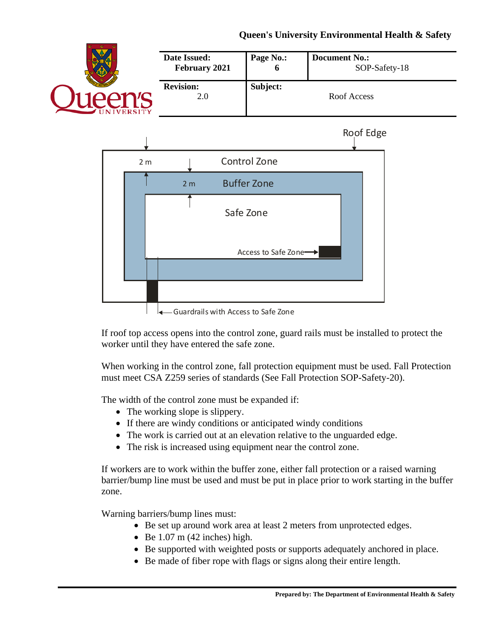



 $\leftarrow$  Guardrails with Access to Safe Zone

If roof top access opens into the control zone, guard rails must be installed to protect the worker until they have entered the safe zone.

When working in the control zone, fall protection equipment must be used. Fall Protection must meet CSA Z259 series of standards (See Fall Protection SOP-Safety-20).

The width of the control zone must be expanded if:

- The working slope is slippery.
- If there are windy conditions or anticipated windy conditions
- The work is carried out at an elevation relative to the unguarded edge.
- The risk is increased using equipment near the control zone.

If workers are to work within the buffer zone, either fall protection or a raised warning barrier/bump line must be used and must be put in place prior to work starting in the buffer zone.

Warning barriers/bump lines must:

- Be set up around work area at least 2 meters from unprotected edges.
- Be  $1.07$  m  $(42$  inches) high.
- Be supported with weighted posts or supports adequately anchored in place.
- Be made of fiber rope with flags or signs along their entire length.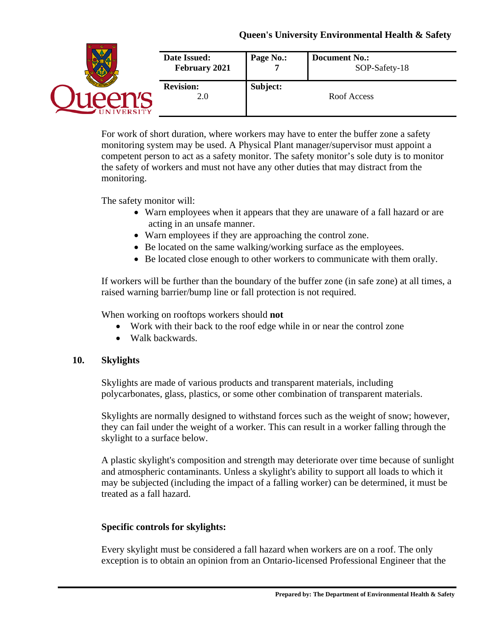|                | Date Issued:<br>February 2021 | Page No.: | <b>Document No.:</b><br>SOP-Safety-18 |
|----------------|-------------------------------|-----------|---------------------------------------|
| <b>VERSITY</b> | <b>Revision:</b><br>2.0       | Subject:  | Roof Access                           |

For work of short duration, where workers may have to enter the buffer zone a safety monitoring system may be used. A Physical Plant manager/supervisor must appoint a competent person to act as a safety monitor. The safety monitor's sole duty is to monitor the safety of workers and must not have any other duties that may distract from the monitoring.

The safety monitor will:

- Warn employees when it appears that they are unaware of a fall hazard or are acting in an unsafe manner.
- Warn employees if they are approaching the control zone.
- Be located on the same walking/working surface as the employees.
- Be located close enough to other workers to communicate with them orally.

If workers will be further than the boundary of the buffer zone (in safe zone) at all times, a raised warning barrier/bump line or fall protection is not required.

When working on rooftops workers should **not**

- Work with their back to the roof edge while in or near the control zone
- Walk backwards.

#### **10. Skylights**

Skylights are made of various products and transparent materials, including polycarbonates, glass, plastics, or some other combination of transparent materials.

Skylights are normally designed to withstand forces such as the weight of snow; however, they can fail under the weight of a worker. This can result in a worker falling through the skylight to a surface below.

A plastic skylight's composition and strength may deteriorate over time because of sunlight and atmospheric contaminants. Unless a skylight's ability to support all loads to which it may be subjected (including the impact of a falling worker) can be determined, it must be treated as a fall hazard.

#### **Specific controls for skylights:**

Every skylight must be considered a fall hazard when workers are on a roof. The only exception is to obtain an opinion from an Ontario-licensed Professional Engineer that the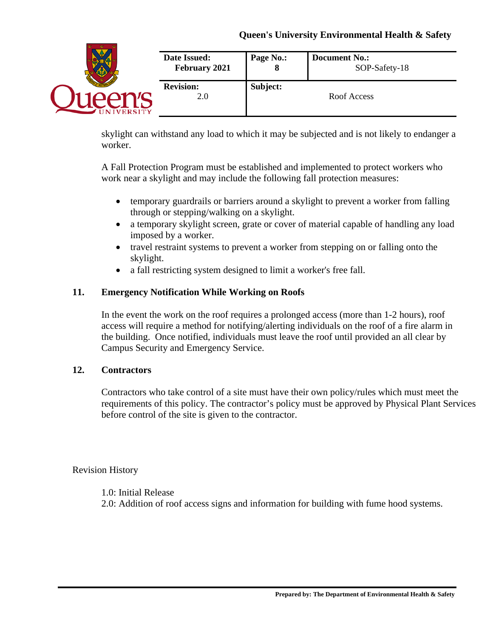|               | <b>Date Issued:</b>     | Page No.: | <b>Document No.:</b> |
|---------------|-------------------------|-----------|----------------------|
|               | February 2021           | О         | SOP-Safety-18        |
| <b>ERSITY</b> | <b>Revision:</b><br>2.0 | Subject:  | Roof Access          |

skylight can withstand any load to which it may be subjected and is not likely to endanger a worker.

A Fall Protection Program must be established and implemented to protect workers who work near a skylight and may include the following fall protection measures:

- temporary guardrails or barriers around a skylight to prevent a worker from falling through or stepping/walking on a skylight.
- a temporary skylight screen, grate or cover of material capable of handling any load imposed by a worker.
- travel restraint systems to prevent a worker from stepping on or falling onto the skylight.
- a fall restricting system designed to limit a worker's free fall.

# **11. Emergency Notification While Working on Roofs**

In the event the work on the roof requires a prolonged access (more than 1-2 hours), roof access will require a method for notifying/alerting individuals on the roof of a fire alarm in the building. Once notified, individuals must leave the roof until provided an all clear by Campus Security and Emergency Service.

#### **12. Contractors**

Contractors who take control of a site must have their own policy/rules which must meet the requirements of this policy. The contractor's policy must be approved by Physical Plant Services before control of the site is given to the contractor.

Revision History

1.0: Initial Release

2.0: Addition of roof access signs and information for building with fume hood systems.